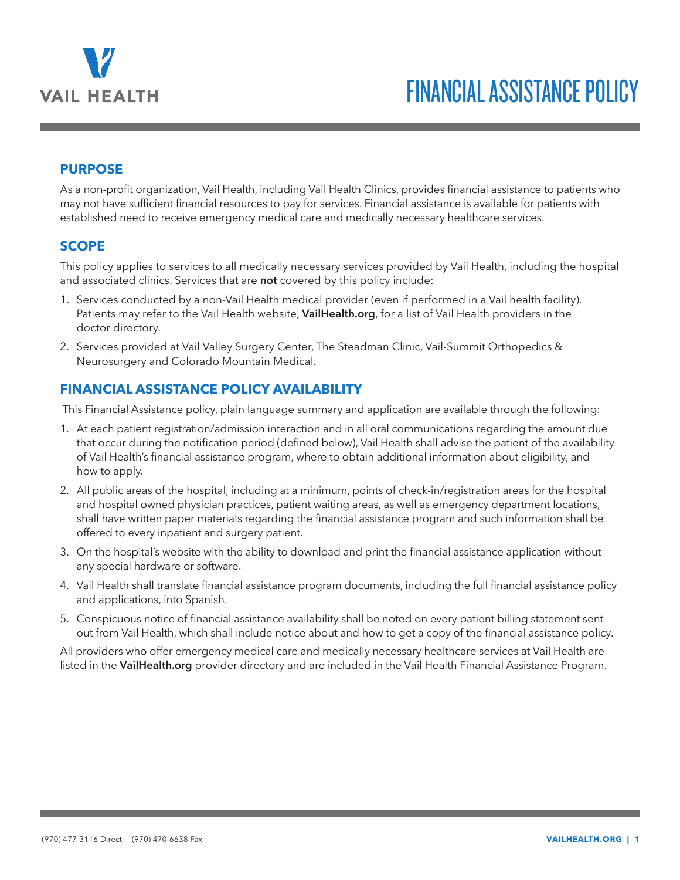

#### **PURPOSE**

As a non-profit organization, Vail Health, including Vail Health Clinics, provides financial assistance to patients who may not have sufficient financial resources to pay for services. Financial assistance is available for patients with established need to receive emergency medical care and medically necessary healthcare services.

#### **SCOPE**

This policy applies to services to all medically necessary services provided by Vail Health, including the hospital and associated clinics. Services that are **not** covered by this policy include:

- 1. Services conducted by a non-Vail Health medical provider (even if performed in a Vail health facility). Patients may refer to the Vail Health website, **VailHealth.org**, for a list of Vail Health providers in the doctor directory.
- 2. Services provided at Vail Valley Surgery Center, The Steadman Clinic, Vail-Summit Orthopedics & Neurosurgery and Colorado Mountain Medical.

# **FINANCIAL ASSISTANCE POLICY AVAILABILITY**

This Financial Assistance policy, plain language summary and application are available through the following:

- 1. At each patient registration/admission interaction and in all oral communications regarding the amount due that occur during the notification period (defined below), Vail Health shall advise the patient of the availability of Vail Health's financial assistance program, where to obtain additional information about eligibility, and how to apply.
- 2. All public areas of the hospital, including at a minimum, points of check-in/registration areas for the hospital and hospital owned physician practices, patient waiting areas, as well as emergency department locations, shall have written paper materials regarding the financial assistance program and such information shall be offered to every inpatient and surgery patient.
- 3. On the hospital's website with the ability to download and print the financial assistance application without any special hardware or software.
- 4. Vail Health shall translate financial assistance program documents, including the full financial assistance policy and applications, into Spanish.
- 5. Conspicuous notice of financial assistance availability shall be noted on every patient billing statement sent out from Vail Health, which shall include notice about and how to get a copy of the financial assistance policy.

All providers who offer emergency medical care and medically necessary healthcare services at Vail Health are listed in the **VailHealth.org** provider directory and are included in the Vail Health Financial Assistance Program.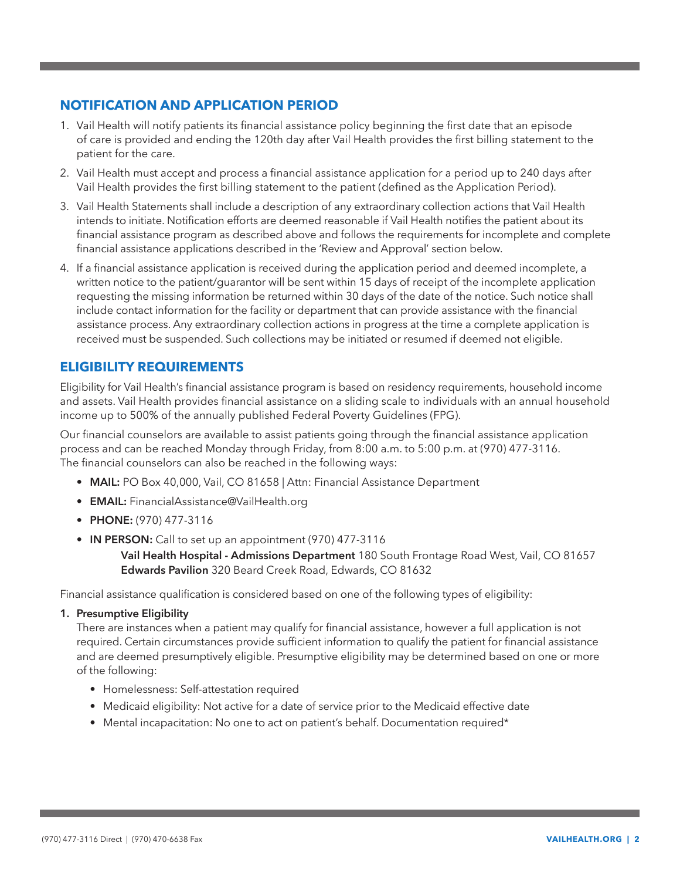# **NOTIFICATION AND APPLICATION PERIOD**

- 1. Vail Health will notify patients its financial assistance policy beginning the first date that an episode of care is provided and ending the 120th day after Vail Health provides the first billing statement to the patient for the care.
- 2. Vail Health must accept and process a financial assistance application for a period up to 240 days after Vail Health provides the first billing statement to the patient (defined as the Application Period).
- 3. Vail Health Statements shall include a description of any extraordinary collection actions that Vail Health intends to initiate. Notification efforts are deemed reasonable if Vail Health notifies the patient about its financial assistance program as described above and follows the requirements for incomplete and complete financial assistance applications described in the 'Review and Approval' section below.
- 4. If a financial assistance application is received during the application period and deemed incomplete, a written notice to the patient/guarantor will be sent within 15 days of receipt of the incomplete application requesting the missing information be returned within 30 days of the date of the notice. Such notice shall include contact information for the facility or department that can provide assistance with the financial assistance process. Any extraordinary collection actions in progress at the time a complete application is received must be suspended. Such collections may be initiated or resumed if deemed not eligible.

# **ELIGIBILITY REQUIREMENTS**

Eligibility for Vail Health's financial assistance program is based on residency requirements, household income and assets. Vail Health provides financial assistance on a sliding scale to individuals with an annual household income up to 500% of the annually published Federal Poverty Guidelines (FPG).

Our financial counselors are available to assist patients going through the financial assistance application process and can be reached Monday through Friday, from 8:00 a.m. to 5:00 p.m. at (970) 477-3116. The financial counselors can also be reached in the following ways:

- **• MAIL:** PO Box 40,000, Vail, CO 81658 | Attn: Financial Assistance Department
- **• EMAIL:** FinancialAssistance@VailHealth.org
- **• PHONE:** (970) 477-3116
- **• IN PERSON:** Call to set up an appointment (970) 477-3116

 **Vail Health Hospital - Admissions Department** 180 South Frontage Road West, Vail, CO 81657  **Edwards Pavilion** 320 Beard Creek Road, Edwards, CO 81632

Financial assistance qualification is considered based on one of the following types of eligibility:

**1. Presumptive Eligibility**

There are instances when a patient may qualify for financial assistance, however a full application is not required. Certain circumstances provide sufficient information to qualify the patient for financial assistance and are deemed presumptively eligible. Presumptive eligibility may be determined based on one or more of the following:

- Homelessness: Self-attestation required
- Medicaid eligibility: Not active for a date of service prior to the Medicaid effective date
- Mental incapacitation: No one to act on patient's behalf. Documentation required\*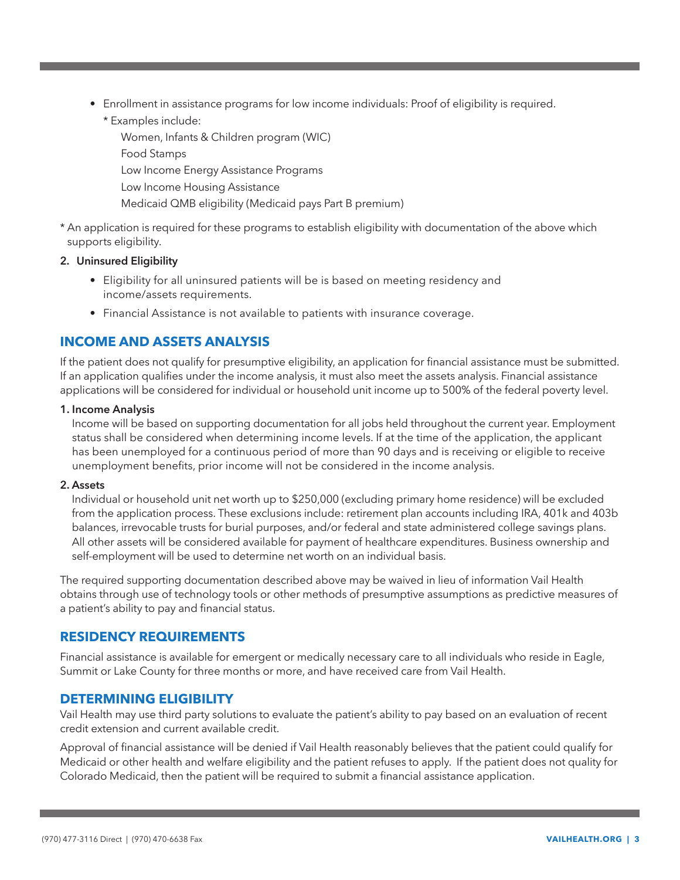- Enrollment in assistance programs for low income individuals: Proof of eligibility is required.
	- \* Examples include:

Women, Infants & Children program (WIC) Food Stamps Low Income Energy Assistance Programs Low Income Housing Assistance Medicaid QMB eligibility (Medicaid pays Part B premium)

\* An application is required for these programs to establish eligibility with documentation of the above which supports eligibility.

#### **2. Uninsured Eligibility**

- Eligibility for all uninsured patients will be is based on meeting residency and income/assets requirements.
- Financial Assistance is not available to patients with insurance coverage.

# **INCOME AND ASSETS ANALYSIS**

If the patient does not qualify for presumptive eligibility, an application for financial assistance must be submitted. If an application qualifies under the income analysis, it must also meet the assets analysis. Financial assistance applications will be considered for individual or household unit income up to 500% of the federal poverty level.

#### **1. Income Analysis**

Income will be based on supporting documentation for all jobs held throughout the current year. Employment status shall be considered when determining income levels. If at the time of the application, the applicant has been unemployed for a continuous period of more than 90 days and is receiving or eligible to receive unemployment benefits, prior income will not be considered in the income analysis.

#### **2. Assets**

Individual or household unit net worth up to \$250,000 (excluding primary home residence) will be excluded from the application process. These exclusions include: retirement plan accounts including IRA, 401k and 403b balances, irrevocable trusts for burial purposes, and/or federal and state administered college savings plans. All other assets will be considered available for payment of healthcare expenditures. Business ownership and self-employment will be used to determine net worth on an individual basis.

The required supporting documentation described above may be waived in lieu of information Vail Health obtains through use of technology tools or other methods of presumptive assumptions as predictive measures of a patient's ability to pay and financial status.

### **RESIDENCY REQUIREMENTS**

Financial assistance is available for emergent or medically necessary care to all individuals who reside in Eagle, Summit or Lake County for three months or more, and have received care from Vail Health.

### **DETERMINING ELIGIBILITY**

Vail Health may use third party solutions to evaluate the patient's ability to pay based on an evaluation of recent credit extension and current available credit.

Approval of financial assistance will be denied if Vail Health reasonably believes that the patient could qualify for Medicaid or other health and welfare eligibility and the patient refuses to apply. If the patient does not quality for Colorado Medicaid, then the patient will be required to submit a financial assistance application.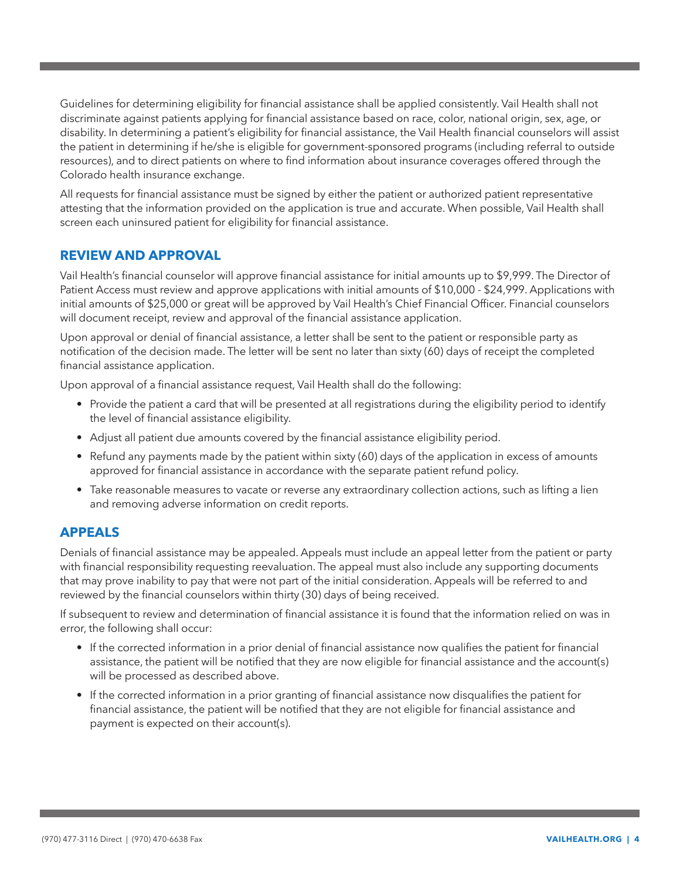Guidelines for determining eligibility for financial assistance shall be applied consistently. Vail Health shall not discriminate against patients applying for financial assistance based on race, color, national origin, sex, age, or disability. In determining a patient's eligibility for financial assistance, the Vail Health financial counselors will assist the patient in determining if he/she is eligible for government-sponsored programs (including referral to outside resources), and to direct patients on where to find information about insurance coverages offered through the Colorado health insurance exchange.

All requests for financial assistance must be signed by either the patient or authorized patient representative attesting that the information provided on the application is true and accurate. When possible, Vail Health shall screen each uninsured patient for eligibility for financial assistance.

# **REVIEW AND APPROVAL**

Vail Health's financial counselor will approve financial assistance for initial amounts up to \$9,999. The Director of Patient Access must review and approve applications with initial amounts of \$10,000 - \$24,999. Applications with initial amounts of \$25,000 or great will be approved by Vail Health's Chief Financial Officer. Financial counselors will document receipt, review and approval of the financial assistance application.

Upon approval or denial of financial assistance, a letter shall be sent to the patient or responsible party as notification of the decision made. The letter will be sent no later than sixty (60) days of receipt the completed financial assistance application.

Upon approval of a financial assistance request, Vail Health shall do the following:

- Provide the patient a card that will be presented at all registrations during the eligibility period to identify the level of financial assistance eligibility.
- Adjust all patient due amounts covered by the financial assistance eligibility period.
- Refund any payments made by the patient within sixty (60) days of the application in excess of amounts approved for financial assistance in accordance with the separate patient refund policy.
- Take reasonable measures to vacate or reverse any extraordinary collection actions, such as lifting a lien and removing adverse information on credit reports.

### **APPEALS**

Denials of financial assistance may be appealed. Appeals must include an appeal letter from the patient or party with financial responsibility requesting reevaluation. The appeal must also include any supporting documents that may prove inability to pay that were not part of the initial consideration. Appeals will be referred to and reviewed by the financial counselors within thirty (30) days of being received.

If subsequent to review and determination of financial assistance it is found that the information relied on was in error, the following shall occur:

- If the corrected information in a prior denial of financial assistance now qualifies the patient for financial assistance, the patient will be notified that they are now eligible for financial assistance and the account(s) will be processed as described above.
- If the corrected information in a prior granting of financial assistance now disqualifies the patient for financial assistance, the patient will be notified that they are not eligible for financial assistance and payment is expected on their account(s).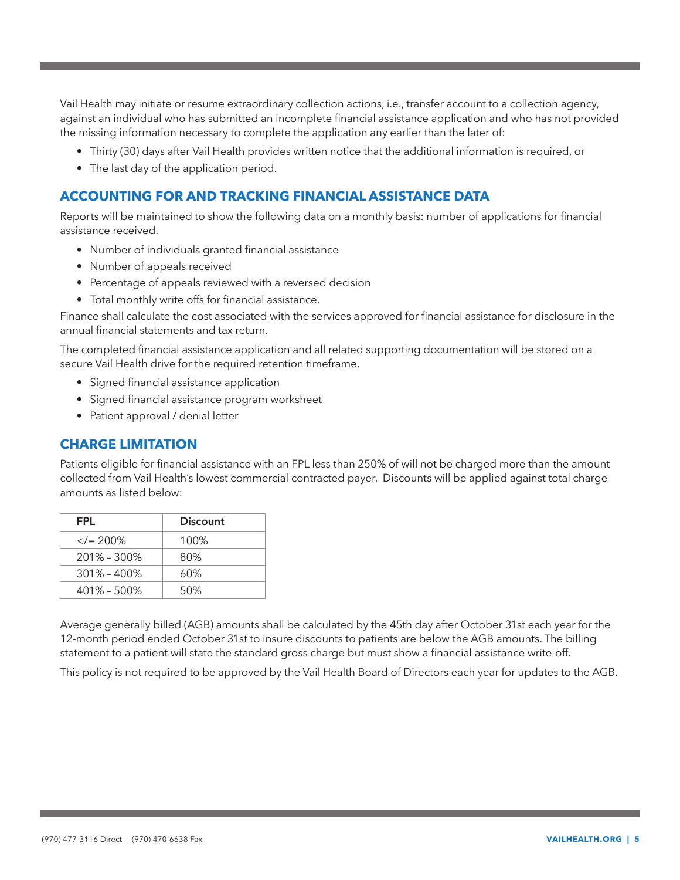Vail Health may initiate or resume extraordinary collection actions, i.e., transfer account to a collection agency, against an individual who has submitted an incomplete financial assistance application and who has not provided the missing information necessary to complete the application any earlier than the later of:

- Thirty (30) days after Vail Health provides written notice that the additional information is required, or
- The last day of the application period.

### **ACCOUNTING FOR AND TRACKING FINANCIAL ASSISTANCE DATA**

Reports will be maintained to show the following data on a monthly basis: number of applications for financial assistance received.

- Number of individuals granted financial assistance
- Number of appeals received
- Percentage of appeals reviewed with a reversed decision
- Total monthly write offs for financial assistance.

Finance shall calculate the cost associated with the services approved for financial assistance for disclosure in the annual financial statements and tax return.

The completed financial assistance application and all related supporting documentation will be stored on a secure Vail Health drive for the required retention timeframe.

- Signed financial assistance application
- Signed financial assistance program worksheet
- Patient approval / denial letter

#### **CHARGE LIMITATION**

Patients eligible for financial assistance with an FPL less than 250% of will not be charged more than the amount collected from Vail Health's lowest commercial contracted payer. Discounts will be applied against total charge amounts as listed below:

| FPI.            | <b>Discount</b> |
|-----------------|-----------------|
| $\langle 200\%$ | 100%            |
| $201\% - 300\%$ | 80%             |
| $301\% - 400\%$ | 60%             |
| $401\% - 500\%$ | 50%             |

Average generally billed (AGB) amounts shall be calculated by the 45th day after October 31st each year for the 12-month period ended October 31st to insure discounts to patients are below the AGB amounts. The billing statement to a patient will state the standard gross charge but must show a financial assistance write-off.

This policy is not required to be approved by the Vail Health Board of Directors each year for updates to the AGB.